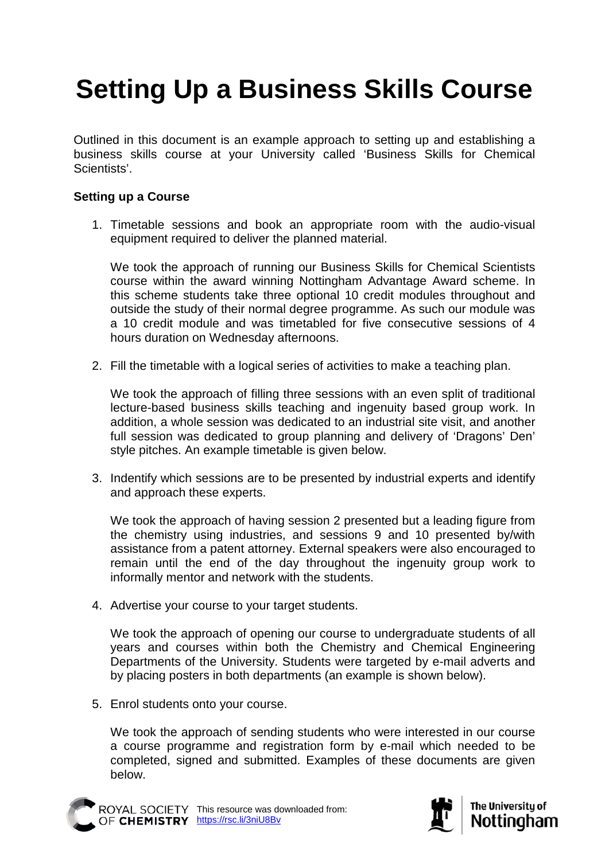## **Setting Up a Business Skills Course**

Outlined in this document is an example approach to setting up and establishing a business skills course at your University called 'Business Skills for Chemical Scientists'.

## **Setting up a Course**

1. Timetable sessions and book an appropriate room with the audio-visual equipment required to deliver the planned material.

We took the approach of running our Business Skills for Chemical Scientists course within the award winning Nottingham Advantage Award scheme. In this scheme students take three optional 10 credit modules throughout and outside the study of their normal degree programme. As such our module was a 10 credit module and was timetabled for five consecutive sessions of 4 hours duration on Wednesday afternoons.

2. Fill the timetable with a logical series of activities to make a teaching plan.

We took the approach of filling three sessions with an even split of traditional lecture-based business skills teaching and ingenuity based group work. In addition, a whole session was dedicated to an industrial site visit, and another full session was dedicated to group planning and delivery of 'Dragons' Den' style pitches. An example timetable is given below.

3. Indentify which sessions are to be presented by industrial experts and identify and approach these experts.

We took the approach of having session 2 presented but a leading figure from the chemistry using industries, and sessions 9 and 10 presented by/with assistance from a patent attorney. External speakers were also encouraged to remain until the end of the day throughout the ingenuity group work to informally mentor and network with the students.

4. Advertise your course to your target students.

We took the approach of opening our course to undergraduate students of all years and courses within both the Chemistry and Chemical Engineering Departments of the University. Students were targeted by e-mail adverts and by placing posters in both departments (an example is shown below).

5. Enrol students onto your course.

We took the approach of sending students who were interested in our course a course programme and registration form by e-mail which needed to be completed, signed and submitted. Examples of these documents are given below.